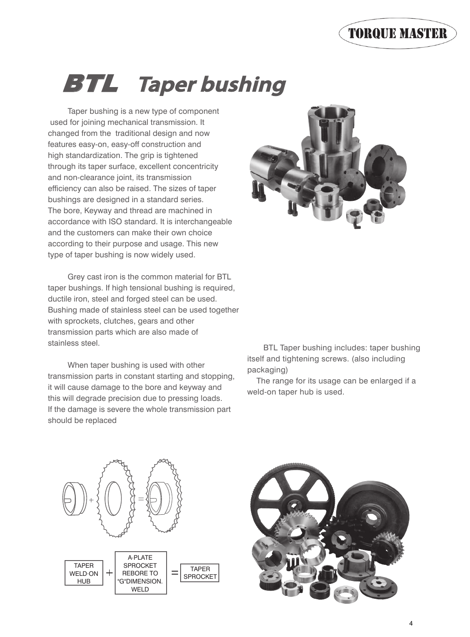Taper bushing is a new type of component used for joining mechanical transmission. It changed from the traditional design and now features easy-on, easy-off construction and high standardization. The grip is tightened through its taper surface, excellent concentricity and non-clearance joint, its transmission efficiency can also be raised. The sizes of taper bushings are designed in a standard series. The bore, Keyway and thread are machined in accordance with ISO standard. It is interchangeable and the customers can make their own choice according to their purpose and usage. This new type of taper bushing is now widely used.

 Grey cast iron is the common material for BTL taper bushings. If high tensional bushing is required, ductile iron, steel and forged steel can be used. Bushing made of stainless steel can be used together with sprockets, clutches, gears and other transmission parts which are also made of stainless steel.

 When taper bushing is used with other transmission parts in constant starting and stopping, it will cause damage to the bore and keyway and this will degrade precision due to pressing loads. If the damage is severe the whole transmission part should be replaced



 BTL Taper bushing includes: taper bushing itself and tightening screws. (also including packaging)

 The range for its usage can be enlarged if a weld-on taper hub is used.



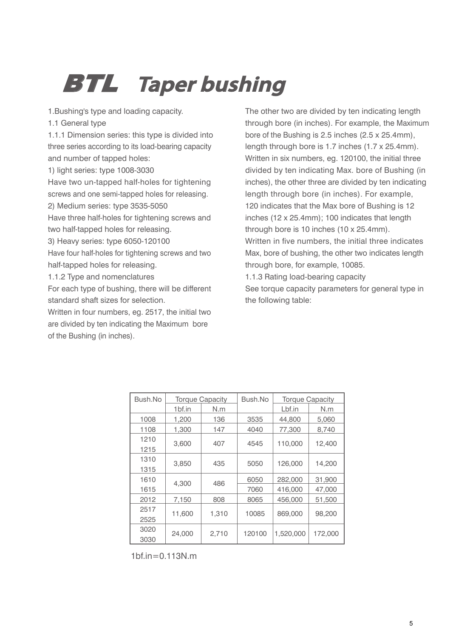1.Bushing's type and loading capacity.

1.1 General type

1.1.1 Dimension series: this type is divided into three series according to its load-bearing capacity and number of tapped holes:

1) light series: type 1008-3030

Have two un-tapped half-holes for tightening screws and one semi-tapped holes for releasing.

2) Medium series: type 3535-5050

Have three half-holes for tightening screws and two half-tapped holes for releasing.

3) Heavy series: type 6050-120100

Have four half-holes for tightening screws and two half-tapped holes for releasing.

1.1.2 Type and nomenclatures

For each type of bushing, there will be different standard shaft sizes for selection.

Written in four numbers, eg. 2517, the initial two are divided by ten indicating the Maximum bore of the Bushing (in inches).

The other two are divided by ten indicating length through bore (in inches). For example, the Maximum bore of the Bushing is 2.5 inches (2.5 x 25.4mm), length through bore is 1.7 inches (1.7 x 25.4mm). Written in six numbers, eg. 120100, the initial three divided by ten indicating Max. bore of Bushing (in inches), the other three are divided by ten indicating length through bore (in inches). For example, 120 indicates that the Max bore of Bushing is 12 inches (12 x 25.4mm); 100 indicates that length through bore is 10 inches (10 x 25.4mm). Written in five numbers, the initial three indicates Max, bore of bushing, the other two indicates length through bore, for example, 10085. 1.1.3 Rating load-bearing capacity See torque capacity parameters for general type in the following table:

| Bush.No |        | <b>Torque Capacity</b> | Bush.No |           | <b>Torque Capacity</b> |  |
|---------|--------|------------------------|---------|-----------|------------------------|--|
|         | 1bf.in | N.m                    |         | Lbf.in    | N.m                    |  |
| 1008    | 1,200  | 136                    | 3535    | 44,800    | 5,060                  |  |
| 1108    | 1,300  | 147                    | 4040    | 77,300    | 8,740                  |  |
| 1210    |        |                        |         |           |                        |  |
| 1215    | 3,600  | 407                    | 4545    | 110,000   | 12,400                 |  |
| 1310    |        |                        |         |           | 14,200                 |  |
| 1315    | 3,850  | 435                    | 5050    | 126,000   |                        |  |
| 1610    |        |                        | 6050    | 282,000   | 31,900                 |  |
| 1615    | 4,300  | 486                    | 7060    | 416,000   | 47,000                 |  |
| 2012    | 7,150  | 808                    | 8065    | 456,000   | 51,500                 |  |
| 2517    |        |                        |         |           |                        |  |
| 2525    | 11.600 | 1.310                  | 10085   | 869,000   | 98,200                 |  |
| 3020    |        |                        | 120100  |           | 172,000                |  |
| 3030    | 24,000 | 2,710                  |         | 1,520,000 |                        |  |

1bf.in=0.113N.m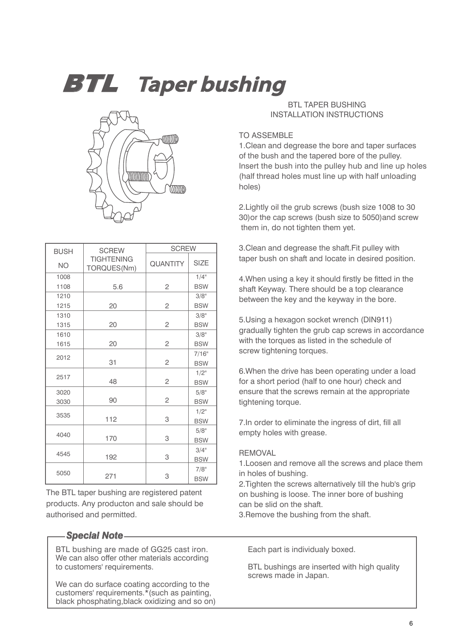

| <b>BUSH</b> | <b>SCREW</b>                     | <b>SCREW</b>    |             |  |  |  |
|-------------|----------------------------------|-----------------|-------------|--|--|--|
| <b>NO</b>   | <b>TIGHTENING</b><br>TORQUES(Nm) | <b>QUANTITY</b> | <b>SIZE</b> |  |  |  |
| 1008        |                                  |                 | $1/4$ "     |  |  |  |
| 1108        | 5.6                              | 2               | <b>BSW</b>  |  |  |  |
| 1210        |                                  |                 | 3/8"        |  |  |  |
| 1215        | 20                               | 2               | <b>BSW</b>  |  |  |  |
| 1310        |                                  |                 | 3/8"        |  |  |  |
| 1315        | 20                               | $\overline{c}$  | <b>BSW</b>  |  |  |  |
| 1610        |                                  |                 | 3/8"        |  |  |  |
| 1615        | 20                               | $\mathbf{2}$    | <b>BSW</b>  |  |  |  |
| 2012        |                                  |                 | 7/16"       |  |  |  |
|             | 31                               | $\overline{c}$  | <b>BSW</b>  |  |  |  |
| 2517        |                                  |                 | $1/2$ "     |  |  |  |
|             | 48                               | $\mathbf{2}$    | <b>BSW</b>  |  |  |  |
| 3020        |                                  |                 | 5/8"        |  |  |  |
| 3030        | 90                               | 2               | <b>BSW</b>  |  |  |  |
| 3535        |                                  |                 | $1/2$ "     |  |  |  |
|             | 112                              | 3               | <b>BSW</b>  |  |  |  |
| 4040        |                                  |                 | 5/8"        |  |  |  |
|             | 170                              | 3               | <b>BSW</b>  |  |  |  |
| 4545        |                                  |                 | 3/4"        |  |  |  |
|             | 192                              | 3               | <b>BSW</b>  |  |  |  |
| 5050        |                                  |                 | 7/8"        |  |  |  |
|             | 271                              | 3               | <b>BSW</b>  |  |  |  |

The BTL taper bushing are registered patent products. Any producton and sale should be authorised and permitted.

### *Special Note*

BTL bushing are made of GG25 cast iron. We can also offer other materials according to customers' requirements.

We can do surface coating according to the customers' requirements.\*(such as painting, black phosphating,black oxidizing and so on)

### **BTL TAPER BUSHING** INSTALLATION INSTRUCTIONS

#### TO ASSEMBLE

1.Clean and degrease the bore and taper surfaces of the bush and the tapered bore of the pulley. Insert the bush into the pulley hub and line up holes (half thread holes must line up with half unloading holes)

2.Lightly oil the grub screws (bush size 1008 to 30 30)or the cap screws (bush size to 5050)and screw them in, do not tighten them yet.

3.Clean and degrease the shaft.Fit pulley with taper bush on shaft and locate in desired position.

4.When using a key it should firstly be fitted in the shaft Keyway. There should be a top clearance between the key and the keyway in the bore.

5.Using a hexagon socket wrench (DIN911) gradually tighten the grub cap screws in accordance with the torques as listed in the schedule of screw tightening torques.

6.When the drive has been operating under a load for a short period (half to one hour) check and ensure that the screws remain at the appropriate tightening torque.

7.In order to eliminate the ingress of dirt, fill all empty holes with grease.

#### **REMOVAL**

1.Loosen and remove all the screws and place them in holes of bushing.

2.Tighten the screws alternatively till the hub's grip on bushing is loose. The inner bore of bushing can be slid on the shaft.

3.Remove the bushing from the shaft.

Each part is individualy boxed.

BTL bushings are inserted with high quality screws made in Japan.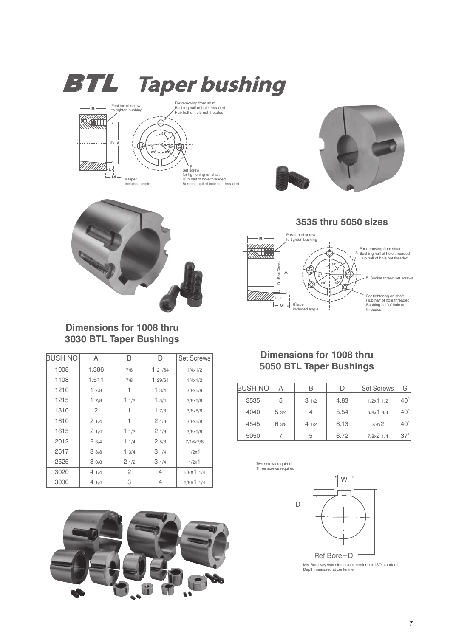





A

F Socket thread set screws

For tightenng on shaft Hub half of hole threaded Bushing half of hole not threaded

For removing from shaft Bushing half of hole threaded Hub half of hole not theaded



### **Dimensions for 1008 thru 3030 BTL Taper Bushings**

| <b>BUSH NO</b> | A     | в    | D       | <b>Set Screws</b>   |
|----------------|-------|------|---------|---------------------|
| 1008           | 1.386 | 7/8  | 121/64  | 1/4x1/2             |
| 1108           | 1.511 | 7/8  | 1 29/64 | 1/4x1/2             |
| 1210           | 17/8  |      | 13/4    | 3/8x5/8             |
| 1215           | 17/8  | 11/2 | 13/4    | 3/8x5/8             |
| 1310           | 2     |      | 17/8    | 3/8x5/8             |
| 1610           | 21/4  | 1    | 21/8    | 3/8x5/8             |
| 1615           | 21/4  | 11/2 | 21/8    | 3/8x5/8             |
| 2012           | 23/4  | 11/4 | 25/8    | 7/16x7/8            |
| 2517           | 33/8  | 13/4 | 31/4    | $1/2x$ <sup>1</sup> |
| 2525           | 33/8  | 21/2 | 31/4    | $1/2x$ <sup>1</sup> |
| 3020           | 41/4  | 2    | 4       | 5/8X11/4            |
| 3030           | 41/4  | 3    | 4       | 5/8X11/4            |

### **Dimensions for 1008 thru 5050 BTL Taper Bushings**

 $60<sup>0</sup>$ **G**  $\times$  **G** 

**520**

**550**

</u>

**3535 thru 5050 sizes**

| BUSH NOI |       |      |      | <b>Set Screws</b>         | G            |
|----------|-------|------|------|---------------------------|--------------|
| 3535     | 5     | 31/2 | 4.83 | $1/2x$ <sup>1</sup> $1/2$ | $40^\circ$   |
| 4040     | 53/4  |      | 5.54 | 5/8x13/4                  | $40^{\circ}$ |
| 4545     | 6 3/8 | 41/2 | 6.13 | $3/4x^2$                  | $40^\circ$   |
| 5050     |       | 5    | 6.72 | $7/8x^2$ 1/4              |              |



Two screws required Three screws required

**B**

Ø

**ODULLER** 

**L**

**D (Bon Cirde)**

(Bon Cirde)  $\begin{matrix} 0 \\ 1 \end{matrix}$ 

**A**

**M** - 8<sup>°</sup>taper<br>
included angle

Position of screw to tighten bushing



MM Bore Key way dimensions conform to ISO standard Depth measured at centerline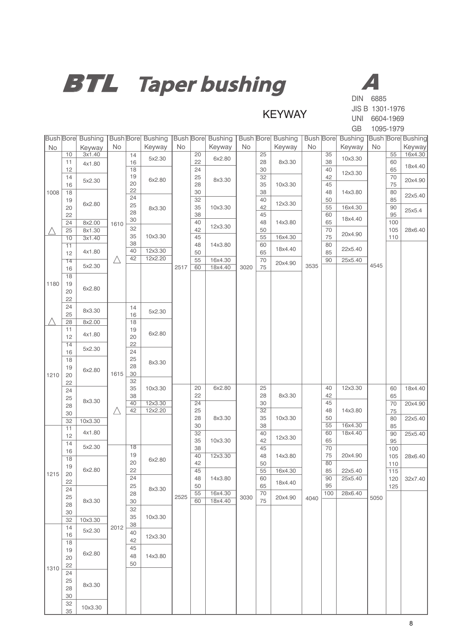

**KEYWAY** 

JIS B 1301-1976 UNI 6604-1969 GB 1095-1979

|      |                 | <b>Bush Bore Bushing</b> |             |          | <b>Bush Bore Bushing</b> |                 |          | <b>Bush Bore Bushing   Bush Bore Bushing</b> |           |                 |         |           |          | <b>Bush Bore Bushing Bush Bore Bushing</b> |           |                 |         |  |  |  |  |
|------|-----------------|--------------------------|-------------|----------|--------------------------|-----------------|----------|----------------------------------------------|-----------|-----------------|---------|-----------|----------|--------------------------------------------|-----------|-----------------|---------|--|--|--|--|
| No   |                 | Keyway                   | <b>No</b>   |          | Keyway                   | No              |          | Keyway                                       | <b>No</b> |                 | Keyway  | <b>No</b> |          | Keyway                                     | <b>No</b> |                 | Keyway  |  |  |  |  |
|      | 10              | 3x1.40                   |             | 14       | 5x2.30                   |                 | 20       | 6x2.80                                       |           | $\overline{25}$ |         |           | 35       | 10x3.30                                    |           | $\overline{55}$ | 16x4.30 |  |  |  |  |
|      | 11<br>12        | 4x1.80                   |             | 16<br>18 |                          |                 | 22<br>24 |                                              |           | 28<br>30        | 8x3.30  |           | 38<br>40 |                                            |           | 60<br>65        | 18x4.40 |  |  |  |  |
|      | 14              |                          |             | 19       |                          |                 | 25       |                                              |           | 32              |         |           | 42       | 12x3.30                                    |           | 70              |         |  |  |  |  |
|      | 16              | 5x2.30                   |             | 20       | 6x2.80                   |                 | 28       | 8x3.30                                       |           | 35              | 10x3.30 |           | 45       |                                            |           | 75              | 20x4.90 |  |  |  |  |
| 1008 | 18              |                          |             | 22       |                          |                 | 30       |                                              |           | 38              |         |           | 48       | 14x3.80                                    |           | 80              | 22x5.40 |  |  |  |  |
|      | 19              | 6x2.80                   |             | 24<br>25 |                          |                 | 32       |                                              |           | 40              | 12x3.30 |           | 50       |                                            |           | 85              |         |  |  |  |  |
|      | 20<br>22        |                          |             | 28       | 8x3.30                   |                 | 35<br>38 | 10x3.30                                      |           | 42<br>45        |         |           | 55<br>60 | 16x4.30                                    |           | 90<br>95        | 25x5.4  |  |  |  |  |
|      | 24              | 8x2.00                   | 1610        | 30       |                          |                 | 40       |                                              |           | 48              | 14x3.80 |           | 65       | 18x4.40                                    |           | 100             |         |  |  |  |  |
|      | 25              | 8x1.30                   |             | 32       |                          |                 | 42       | 12x3.30                                      |           | 50              |         |           | 70       |                                            | 105       | 28x6.40         |         |  |  |  |  |
|      | 10              | 3x1.40                   |             | 35       | 10x3.30                  |                 | 45       |                                              |           | 55              | 16x4.30 |           | 75       | 20x4.90                                    |           | 110             |         |  |  |  |  |
|      | 11              | 4x1.80                   |             | 38<br>40 | 12x3.30                  |                 | 48       | 14x3.80                                      |           | 60              | 18x4.40 |           | 80<br>85 | 22x5.40                                    |           |                 |         |  |  |  |  |
|      | 12<br>14        |                          | $\triangle$ | 42       | 12x2.20                  |                 | 50<br>55 | 16x4.30                                      |           | 65<br>70        |         |           | 90       | 25x5.40                                    |           |                 |         |  |  |  |  |
|      | 16              | 5x2.30                   |             |          |                          | 2517            | 60       | 18x4.40                                      | 3020      | 75              | 20x4.90 | 3535      |          |                                            | 4545      |                 |         |  |  |  |  |
|      | 18              |                          |             |          |                          |                 |          |                                              |           |                 |         |           |          |                                            |           |                 |         |  |  |  |  |
| 1180 | 19              |                          |             |          |                          |                 |          |                                              |           |                 |         |           |          |                                            |           |                 |         |  |  |  |  |
|      | 20              | 6x2.80                   |             |          |                          |                 |          |                                              |           |                 |         |           |          |                                            |           |                 |         |  |  |  |  |
|      | 22              |                          |             |          |                          |                 |          |                                              |           |                 |         |           |          |                                            |           |                 |         |  |  |  |  |
|      | 24<br>25        | 8x3.30                   |             | 14<br>16 | 5x2.30                   |                 |          |                                              |           |                 |         |           |          |                                            |           |                 |         |  |  |  |  |
|      | 28              | 8x2.00                   |             | 18       |                          |                 |          |                                              |           |                 |         |           |          |                                            |           |                 |         |  |  |  |  |
|      | 11              |                          | 4x1.80      |          |                          |                 | 19       | 6x2.80                                       |           |                 |         |           |          |                                            |           |                 |         |  |  |  |  |
|      | 12              |                          |             | 20       |                          |                 |          |                                              |           |                 |         |           |          |                                            |           |                 |         |  |  |  |  |
|      | 14              | 5x2.30                   |             | 22<br>24 |                          |                 |          |                                              |           |                 |         |           |          |                                            |           |                 |         |  |  |  |  |
|      | 16<br>18<br>19  |                          | 25          |          |                          |                 |          |                                              |           |                 |         |           |          |                                            |           |                 |         |  |  |  |  |
|      |                 |                          | 28          | 8x3.30   |                          |                 |          |                                              |           |                 |         |           |          |                                            |           |                 |         |  |  |  |  |
| 1210 | 20              | 6x2.80                   | 1615        | 30       |                          |                 |          |                                              |           |                 |         |           |          |                                            |           |                 |         |  |  |  |  |
|      | 22              |                          |             | 32       |                          |                 | 20       | 6x2.80                                       |           | 25              |         |           | 40       | 12x3.30                                    |           |                 | 18x4.40 |  |  |  |  |
|      | 24              |                          |             | 35<br>38 | 10x3.30<br>12x3.30       | 22              |          |                                              | 28        | 8x3.30          |         | 42        |          |                                            | 60<br>65  |                 |         |  |  |  |  |
|      | 25<br>28        | 8x3.30                   |             | 40       |                          | $\overline{24}$ |          | 30                                           |           |                 | 45      |           |          | 70                                         | 20x4.90   |                 |         |  |  |  |  |
|      | 30              |                          | $\triangle$ | 42       | 12x2.20                  | 25              |          |                                              |           | 32              |         |           | 48       | 14x3.80                                    |           | 75              |         |  |  |  |  |
|      | $\overline{32}$ | 10x3.30                  |             |          |                          | 28<br>8x3.30    |          | 35                                           | 10x3.30   |                 | 50      |           |          | 80                                         | 22x5.40   |                 |         |  |  |  |  |
|      | 11              | 4x1.80                   |             |          |                          |                 | 30<br>32 |                                              |           | 38<br>40        |         |           | 55<br>60 | 16x4.30<br>18x4.40                         |           | 85<br>90        | 25x5.40 |  |  |  |  |
|      | 12<br>14        |                          |             |          |                          |                 | 35       | 10x3.30                                      |           | 42              | 12x3.30 |           | 65       |                                            |           | 95              |         |  |  |  |  |
|      | 16              | 5x2.30                   |             | 18       |                          |                 | 38       |                                              |           | 45              |         |           | 70       |                                            |           | 100             |         |  |  |  |  |
|      | 18              |                          |             | 19       | 6x2.80                   |                 | 40       | 12x3.30                                      |           | 48              | 14x3.80 |           | 75       | 20x4.90                                    |           | 105             | 28x6.40 |  |  |  |  |
|      | 19              | 6x2.80                   |             | 20<br>22 |                          |                 | 42<br>45 |                                              |           | 50<br>55        | 16x4.30 |           | 80<br>85 | 22x5.40                                    |           | 110<br>115      |         |  |  |  |  |
| 1215 | 20              |                          |             | 24       |                          |                 | 48       | 14x3.80                                      |           | 60              |         |           | 90       | 25x5.40                                    |           | 120             | 32x7.40 |  |  |  |  |
|      | 22              |                          |             | 25       | 8x3.30                   |                 | 50       |                                              |           | 65              | 18x4.40 |           | 95       |                                            |           | 125             |         |  |  |  |  |
|      | 24<br>25        |                          |             | 28       |                          | 2525            | 55       | 16x4.30                                      | 3030      | 70              | 20x4.90 | 4040      | 100      | 28x6.40                                    | 5050      |                 |         |  |  |  |  |
|      | 28              | 8x3.30                   |             | 30       |                          |                 | 60       | 18x4.40                                      |           | 75              |         |           |          |                                            |           |                 |         |  |  |  |  |
|      | 30              |                          |             | 32<br>35 | 10x3.30                  |                 |          |                                              |           |                 |         |           |          |                                            |           |                 |         |  |  |  |  |
|      | 32              | 10x3.30                  |             | 38       |                          |                 |          |                                              |           |                 |         |           |          |                                            |           |                 |         |  |  |  |  |
|      | 14<br>16        | 5x2.30                   | 2012        | 40       |                          |                 |          |                                              |           |                 |         |           |          |                                            |           |                 |         |  |  |  |  |
|      | 18              |                          |             | 42       | 12x3.30                  |                 |          |                                              |           |                 |         |           |          |                                            |           |                 |         |  |  |  |  |
|      | 19              |                          |             | 45       |                          |                 |          |                                              |           |                 |         |           |          |                                            |           |                 |         |  |  |  |  |
|      | 6x2.80<br>20    |                          | 48          | 14x3.80  |                          |                 |          |                                              |           |                 |         |           |          |                                            |           |                 |         |  |  |  |  |
| 1310 | 22              |                          |             | 50       |                          |                 |          |                                              |           |                 |         |           |          |                                            |           |                 |         |  |  |  |  |
|      | 24              |                          |             |          |                          |                 |          |                                              |           |                 |         |           |          |                                            |           |                 |         |  |  |  |  |
|      | 28              | 25<br>8x3.30             |             |          |                          |                 |          |                                              |           |                 |         |           |          |                                            |           |                 |         |  |  |  |  |
|      | 30              |                          |             |          |                          |                 |          |                                              |           |                 |         |           |          |                                            |           |                 |         |  |  |  |  |
|      | 32              | 10x3.30                  |             |          |                          |                 |          |                                              |           |                 |         |           |          |                                            |           |                 |         |  |  |  |  |
|      | 35              |                          |             |          |                          |                 |          |                                              |           |                 |         |           |          |                                            |           |                 |         |  |  |  |  |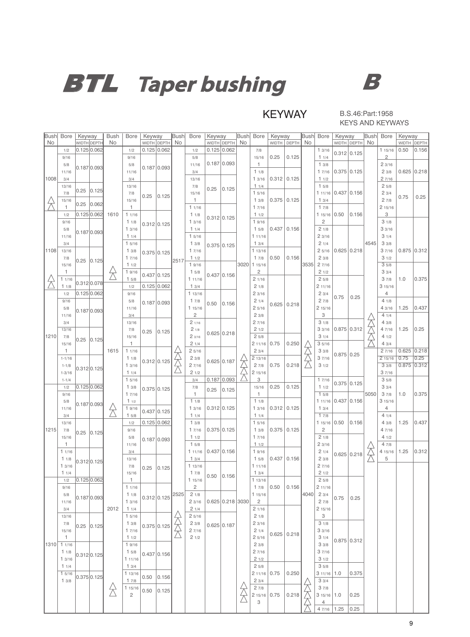

KEYWAY

#### B.S.46:Part:1958 KEYS AND KEYWAYS

| <b>Bush</b> | Bore         | Keyway      |                  | <b>Bush</b>                      | <b>Bore</b>              | Keyway |                | <b>Bush</b> | Bore           | Keyway |                    | Bush | Bore                     | Keyway |               | <b>Bush</b> | Bore                 | Keyway        |                | <b>Bush</b> | Bore           | Keyway       |               |
|-------------|--------------|-------------|------------------|----------------------------------|--------------------------|--------|----------------|-------------|----------------|--------|--------------------|------|--------------------------|--------|---------------|-------------|----------------------|---------------|----------------|-------------|----------------|--------------|---------------|
| No          |              |             | WIDTH DEPTH      | No                               |                          |        | WIDTH DEPTH NO |             |                |        | WIDTH DEPTH        | No   |                          |        | WIDTH   DEPTH | No          |                      |               | WIDTH DEPTH NO |             |                | <b>WIDTH</b> | DEPTH         |
|             | 1/2          | 0.125 0.062 |                  |                                  | 1/2                      |        | $0.125$ 0.062  |             | 1/2            |        | 0.125 0.062        |      | 7/8                      |        |               |             | 13/16                | 0.312 0.125   |                |             | 115/16         | 0.50         | 0.156         |
|             | 9/16         |             |                  |                                  | 9/16                     |        |                |             | 5/8            |        | 0.187 0.093        |      | 15/16<br>$\mathbf{1}$    | 0.25   | 0.125         |             | 11/4                 |               |                |             | $\overline{c}$ |              |               |
|             | 5/8<br>11/16 |             | 0.187 0.093      |                                  | 5/8<br>11/16             |        | $0.187$ 0.093  |             | 11/16<br>3/4   |        |                    |      | 11/8                     |        |               |             | 13/8<br>17/16        | $0.375$ 0.125 |                |             | 23/16<br>23/8  |              | 0.625   0.218 |
| 1008        | 3/4          |             |                  |                                  | 3/4                      |        |                |             | 13/16          |        |                    |      | 13/16                    |        | $0.312$ 0.125 |             | 11/2                 |               |                |             | 27/16          |              |               |
|             | 13/16        |             |                  |                                  | 13/16                    |        |                |             | 7/8            |        |                    |      | 11/4                     |        |               |             | 15/8                 |               |                |             | 25/8           |              |               |
|             | 7/8          | 0.25        | 0.125            |                                  | 7/8                      |        |                |             | 15/16          | 0.25   | 0.125              |      | 15/16                    |        |               |             | 111/16               | 0.437 0.156   |                |             | 23/4           |              |               |
|             | 15/16        |             |                  |                                  | 15/16                    | 0.25   | 0.125          |             | 1              |        |                    |      | 13/8                     |        | $0.375$ 0.125 |             | 13/4                 |               |                |             | 27/8           | 0.75         | 0.25          |
|             | 1            | 0.25        | 0.062            |                                  | 1                        |        |                |             | 11/16          |        |                    |      | 17/16                    |        |               |             | 17/8                 |               |                |             | 215/16         |              |               |
|             | 1/2          | 0.125 0.062 |                  | 1610                             | 11/16                    |        |                |             | 11/8           |        | 0.312 0.125        |      | 11/2                     |        |               |             | 115/16               | 0.50          | 0.156          |             | 3              |              |               |
|             | 9/16         |             |                  |                                  | 11/8                     |        | 0.312 0.125    |             | 13/16          |        |                    |      | 19/16                    |        |               |             | $\sqrt{2}$           |               |                |             | 31/8           |              |               |
|             | 5/8          |             | 0.187 0.093      |                                  | 13/16                    |        |                |             | 11/4           |        |                    |      | 15/8                     | 0.437  | 0.156         |             | 21/8                 |               |                |             | 33/16          |              |               |
|             | 11/16        |             |                  |                                  | 11/4                     |        |                |             | 15/16          |        |                    |      | 111/16                   |        |               |             | 23/16                |               |                |             | 31/4           |              |               |
|             | 3/4          |             |                  |                                  | 15/16                    |        |                |             | 13/8           |        | 0.375 0.125        |      | 13/4                     |        |               |             | 21/4                 |               |                | 4545        | 33/8           |              |               |
| 1108        | 13/16        |             |                  |                                  | 13/8<br>17/16            |        | $0.375$ 0.125  |             | 17/16          |        |                    |      | 113/16<br>17/8           | 0.50   | 0.156         |             | 25/16<br>23/8        | 0.625   0.218 |                |             | 37/16<br>31/2  |              | $0.875$ 0.312 |
|             | 7/8<br>15/16 |             | $0.25$ $0.125$   |                                  | 11/2                     |        |                | 2517        | 11/2<br>19/16  |        |                    |      | 3020 1 15/16             |        |               | 3535        | 27/16                |               |                |             | 35/8           |              |               |
|             | 1            |             |                  |                                  | 19/16                    |        |                |             | 15/8           |        |                    |      | $\overline{c}$           |        |               |             | 21/2                 |               |                |             | 33/4           |              |               |
|             | 11/16        |             |                  |                                  | 15/8                     |        | $0.437$ 0.125  |             | 111/16         |        | 0.437 0.156        |      | 21/16                    |        |               |             | 25/8                 |               |                |             | 37/8           | 1.0          | 0.375         |
|             | 11/8         |             | 0.312 0.078      |                                  | 1/2                      |        | 0.125   0.062  |             | 13/4           |        |                    |      | 21/8                     |        |               |             | 2 11/16              |               |                |             | 315/16         |              |               |
|             | 1/2          | 0.125 0.062 |                  |                                  | 9/16                     |        |                |             | 113/16         |        |                    |      | 23/16                    |        |               |             | 23/4                 |               |                |             | 4              |              |               |
|             | 9/16         |             |                  |                                  | 5/8                      |        | $0.187$ 0.093  |             | 17/8           | 0.50   | 0.156              |      | 21/4                     |        | $0.625$ 0.218 |             | 27/8                 | 0.75          | 0.25           |             | 41/8           |              |               |
|             | 5/8          |             | 0.187 0.093      |                                  | 11/16                    |        |                |             | 115/16         |        |                    |      | 25/16                    |        |               |             | 2 15/16              |               |                |             | 43/16          | 1.25         | 0.437         |
|             | 11/16        |             |                  |                                  | 3/4                      |        |                |             | $\overline{c}$ |        |                    |      | 23/8                     |        |               |             | 3                    |               |                |             | 41/4           |              |               |
|             | 3/4          |             |                  |                                  | 13/16                    |        |                |             | 21/16          |        |                    |      | 27/16                    |        |               |             | 31/8                 |               |                |             | 43/8           |              |               |
|             | 13/16        |             |                  |                                  | 7/8                      | 0.25   | 0.125          |             | 21/8           |        | 0.625   0.218      |      | 21/2                     |        |               |             | 33/16                | $0.875$ 0.312 |                |             | 4 7/16         | 1.25         | 0.25          |
| 1210        | 7/8          |             | $0.25$ $ 0.125 $ |                                  | 15/16<br>1               |        |                |             | 23/16<br>21/4  |        |                    |      | 25/8                     | 0.75   | 0.250         |             | 31/4<br>35/16        |               |                |             | 41/2<br>43/4   |              |               |
|             | 15/16<br>1   |             |                  | 1615                             | 11/16                    |        |                |             | 25/16          |        |                    |      | 2 11/16<br>23/4          |        |               |             | 33/8                 |               |                |             | 27/16          |              | $0.625$ 0.218 |
|             | $1 - 1/16$   |             |                  |                                  | 11/8                     |        |                |             | 23/8           |        |                    |      | 2 13/16                  |        |               |             | 37/16                | $0.875$ 0.25  |                |             | 215/16         | 0.75         | 0.25          |
|             | $1 - 1/8$    |             |                  |                                  | 13/16                    |        | 0.312 0.125    |             | 27/16          |        | 0.625   0.187      |      | 27/8                     | 0.75   | 0.218         |             | 31/2                 |               |                |             | 33/8           |              | $0.875$ 0.312 |
|             | $1 - 3/16$   |             | 0.312 0.125      |                                  | 11/4                     |        |                |             | 21/2           |        |                    |      | 215/16                   |        |               |             |                      |               |                |             | 37/16          |              |               |
|             | $1 - 1/4$    |             |                  |                                  | 15/16                    |        |                |             | 3/4            |        | 0.187 0.093        |      | 3                        |        |               |             | 17/16                |               |                |             | 35/8           |              |               |
|             | 1/2          | 0.125 0.062 |                  |                                  | 13/8                     |        | $0.375$ 0.125  |             | 7/8            |        | $0.25$ 0.125       |      | 15/16                    | 0.25   | 0.125         |             | 11/2                 |               | 0.375 0.125    |             | 33/4           |              |               |
|             | 9/16         |             |                  |                                  | 17/16                    |        |                |             | $\mathbf{1}$   |        |                    |      | $\mathbf{1}$             |        |               |             | 15/8                 |               |                | 5050        | 37/8           | 1.0          | 0.375         |
|             | 5/8          |             | 0.187 0.093      |                                  | 11/2                     |        |                |             | 11/8           |        |                    |      | 11/8                     |        |               |             | 111/16               | 0.437 0.156   |                |             | 315/16         |              |               |
|             | 11/16        |             |                  | 发                                | 19/16                    |        | $0.437$ 0.125  |             | 13/16          |        | 0.312 0.125        |      | 13/16                    |        | $0.312$ 0.125 |             | 13/4                 |               |                |             | $\overline{4}$ |              |               |
|             | 3/4          |             |                  |                                  | 15/8                     |        | $0.125$ 0.062  |             | 11/4           |        |                    |      | 11/4                     |        |               |             | 17/8                 | 0.50          | 0.156          |             | 41/4<br>43/8   | 1.25         | 0.437         |
| 1215        | 13/16<br>7/8 |             |                  |                                  | 1/2<br>9/16              |        |                |             | 13/8<br>17/16  |        | 0.375 0.125        |      | 15/16<br>13/8            |        | $0.375$ 0.125 |             | 115/16<br>$\sqrt{2}$ |               |                |             | 4 7/16         |              |               |
|             | 15/16        |             | $0.25$ $ 0.125 $ |                                  | 5/8                      |        |                |             | 11/2           |        |                    |      | 17/16                    |        |               |             | 21/8                 |               |                |             | 41/2           |              |               |
|             | 1            |             |                  |                                  | 11/16                    |        | $0.187$ 0.093  |             | 15/8           |        |                    |      | 11/2                     |        |               |             | 23/16                |               |                |             | 47/8           |              |               |
|             | 11/16        |             |                  |                                  | 3/4                      |        |                |             | 11/16          |        | 0.437 0.156        |      | 19/16                    |        |               |             | 21/4                 |               | 0.625   0.218  |             | 4 15/16        | 1.25         | 0.312         |
|             | 11/8         |             | 0.312 0.125      |                                  | 13/16                    |        |                |             | 13/4           |        |                    |      | 15/8                     | 0.437  | 0.156         |             | 23/8                 |               |                |             | 5              |              |               |
|             | 13/16        |             |                  |                                  | 7/8                      | 0.25   | 0.125          |             | 113/16         |        |                    |      | 111/16                   |        |               |             | 27/16                |               |                |             |                |              |               |
|             | 11/4         |             |                  |                                  | 15/16                    |        |                |             | 17/8           |        | $0.50$ 0.156       |      | 13/4                     |        |               |             | 21/2                 |               |                |             |                |              |               |
|             | 1/2          | 0.125 0.062 |                  |                                  | 1.                       |        |                |             | 115/16         |        |                    |      | 113/16                   |        |               |             | 25/8                 |               |                |             |                |              |               |
|             | 9/16         |             |                  |                                  | 11/16                    |        |                |             | 2              |        |                    |      | 17/8                     | 0.50   | 0.156         |             | 2 11/16              |               |                |             |                |              |               |
|             | 5/8          | 0.187 0.093 |                  |                                  | 11/8<br>13/16            |        | 0.312 0.125    | 2525        | 21/8<br>23/16  |        | 0.625 0.218 3030   |      | 115/16<br>$\overline{c}$ |        |               | 4040        | 23/4<br>27/8         | 0.75          | 0.25           |             |                |              |               |
|             | 11/16<br>3/4 |             |                  | 2012                             | 11/4                     |        |                |             | 21/4           |        |                    |      | 21/16                    |        |               |             | 2 15/16              |               |                |             |                |              |               |
|             | 13/16        |             |                  |                                  | 15/16                    |        |                |             | 25/16          |        |                    |      | 21/8                     |        |               |             | 3                    |               |                |             |                |              |               |
|             | 7/8          |             |                  |                                  | 13/8                     |        |                |             | 23/8           |        | $0.625 \mid 0.187$ |      | 23/16                    |        |               |             | 31/8                 |               |                |             |                |              |               |
|             | 15/16        |             | $0.25$ $ 0.125 $ |                                  | 17/16                    |        | 0.375 0.125    |             | 27/16          |        |                    |      | 21/4                     |        |               |             | 33/16                |               |                |             |                |              |               |
|             | -1           |             |                  |                                  | 11/2                     |        |                |             | 21/2           |        |                    |      | 25/16                    |        | $0.625$ 0.218 |             | 31/4                 |               | $0.875$ 0.312  |             |                |              |               |
| 1310        | 11/16        |             |                  |                                  | 19/16                    |        |                |             |                |        |                    |      | 23/8                     |        |               |             | 33/8                 |               |                |             |                |              |               |
|             | 11/8         |             | 0.312 0.125      |                                  | 15/8                     |        | 0.437 0.156    |             |                |        |                    |      | 27/16                    |        |               |             | 37/16                |               |                |             |                |              |               |
|             | 13/16        |             |                  |                                  | 111/16                   |        |                |             |                |        |                    |      | 21/2                     |        |               |             | 31/2                 |               |                |             |                |              |               |
|             | 11/4         |             |                  |                                  | 13/4                     |        |                |             |                |        |                    |      | 25/8                     |        |               |             | 35/8                 |               |                |             |                |              |               |
|             | 15/16        |             | 0.375 0.125      |                                  | 113/16                   | 0.50   | 0.156          |             |                |        |                    |      | 211/16                   | 0.75   | 0.250         |             | 3 11/16              | 1.0           | 0.375          |             |                |              |               |
|             | 13/8         |             |                  |                                  | 17/8                     |        |                |             |                |        |                    |      | 23/4                     |        |               |             | 33/4                 |               |                |             |                |              |               |
|             |              |             |                  | $\overleftrightarrow{\triangle}$ | 115/16<br>$\overline{c}$ | 0.50   | 0.125          |             |                |        |                    |      | 27/8<br>215/16           | 0.75   | 0.218         |             | 37/8<br>$315/16$ 1.0 |               | 0.25           |             |                |              |               |
|             |              |             |                  |                                  |                          |        |                |             |                |        |                    |      | 3                        |        |               |             | $\overline{4}$       |               |                |             |                |              |               |
|             |              |             |                  |                                  |                          |        |                |             |                |        |                    |      |                          |        |               |             | 4 7/16 1.25          |               | 0.25           |             |                |              |               |
|             |              |             |                  |                                  |                          |        |                |             |                |        |                    |      |                          |        |               |             |                      |               |                |             |                |              |               |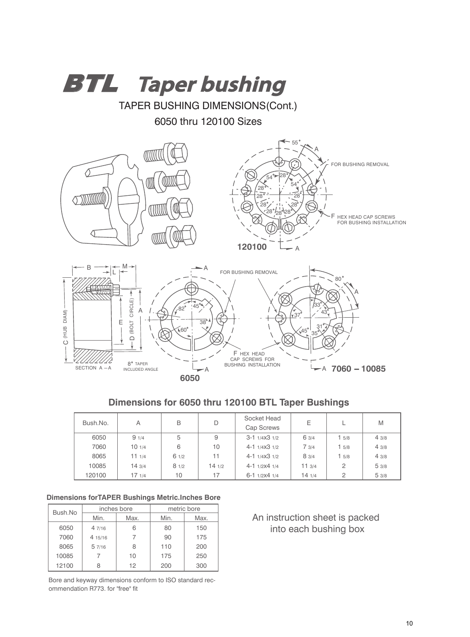

### **Dimensions for 6050 thru 120100 BTL Taper Bushings**

| Bush.No. | Α      | B    | D      | Socket Head<br>Cap Screws | Ε     |                | M    |
|----------|--------|------|--------|---------------------------|-------|----------------|------|
| 6050     | 91/4   | 5    | 9      | $3-1$ 1/4X $3$ 1/2        | 6 3/4 | 15/8           | 43/8 |
| 7060     | 101/4  | 6    | 10     | $4-1$ $1/4X3$ $1/2$       | 73/4  | 15/8           | 43/8 |
| 8065     | 111/4  | 61/2 | 11     | $4-1$ $1/4X3$ $1/2$       | 8 3/4 | 15/8           | 43/8 |
| 10085    | 14 3/4 | 81/2 | 14 1/2 | $4-1$ 1/2X4 1/4           | 113/4 | 2              | 53/8 |
| 120100   | 17 1/4 | 10   | 17     | $6-1$ 1/2X4 1/4           | 141/4 | $\overline{2}$ | 53/8 |

#### **Dimensions forTAPER Bushings Metric.Inches Bore**

| Bush.No |         | inches bore | metric bore |      |  |  |
|---------|---------|-------------|-------------|------|--|--|
|         | Min.    | Max.        | Min.        | Max. |  |  |
| 6050    | 47/16   | հ           | 80          | 150  |  |  |
| 7060    | 4 15/16 |             | 90          | 175  |  |  |
| 8065    | 57/16   | 8           | 110         | 200  |  |  |
| 10085   |         | 10          | 175         | 250  |  |  |
| 12100   |         | 12          | 200         | 300  |  |  |

Bore and keyway dimensions conform to ISO standard recommendation R773. for "free" fit

### An instruction sheet is packed into each bushing box